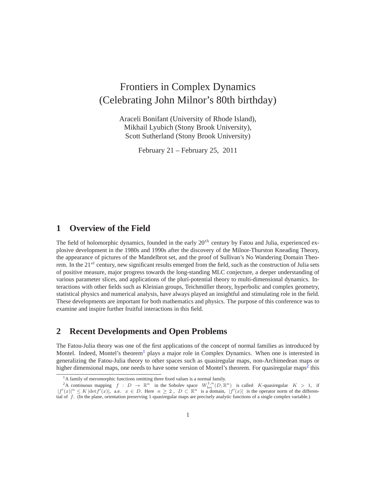# Frontiers in Complex Dynamics (Celebrating John Milnor's 80th birthday)

Araceli Bonifant (University of Rhode Island), Mikhail Lyubich (Stony Brook University), Scott Sutherland (Stony Brook University)

February 21 – February 25, 2011

#### **1 Overview of the Field**

The field of holomorphic dynamics, founded in the early  $20<sup>th</sup>$  century by Fatou and Julia, experienced explosive development in the 1980s and 1990s after the discovery of the Milnor-Thurston Kneading Theory, the appearance of pictures of the Mandelbrot set, and the proof of Sullivan's No Wandering Domain Theorem. In the  $21^{st}$  century, new significant results emerged from the field, such as the construction of Julia sets of positive measure, major progress towards the long-standing MLC conjecture, a deeper understanding of various parameter slices, and applications of the pluri-potential theory to multi-dimensional dynamics. Interactions with other fields such as Kleinian groups, Teichmüller theory, hyperbolic and complex geometry, statistical physics and numerical analysis, have always played an insightful and stimulating role in the field. These developments are important for both mathematics and physics. The purpose of this conference was to examine and inspire further fruitful interactions in this field.

# **2 Recent Developments and Open Problems**

The Fatou-Julia theory was one of the first applications of the concept of normal families as introduced by Montel. Indeed, Montel's theorem<sup>[1](#page-0-0)</sup> plays a major role in Complex Dynamics. When one is interested in generalizing the Fatou-Julia theory to other spaces such as quasiregular maps, non-Archimedean maps or higher dimensional maps, one needs to have some version of Montel's theorem. For quasiregular maps<sup>[2](#page-0-1)</sup> this

<span id="page-0-0"></span><sup>&</sup>lt;sup>1</sup>A family of meromorphic functions omitting three fixed values is a normal family.

<span id="page-0-1"></span><sup>&</sup>lt;sup>2</sup>A continuous mapping  $f : D \to \mathbb{R}^n$  in the Sobolev space  $W^{1,n}_{loc}(D, \mathbb{R}^n)$  is called K-quasiregular  $K > 1$ , if  $|f'(x)|^n \leq K |\text{det}f'(x)|$ , a.e.  $x \in D$ . Here  $n \geq 2$ ,  $D \subset \mathbb{R}^n$  is a domain,  $|f'(x)|$  is the operator norm of the differential of f. (In the plane, orientation preserving 1-quasiregular maps are precisely analytic functions of a single complex variable.)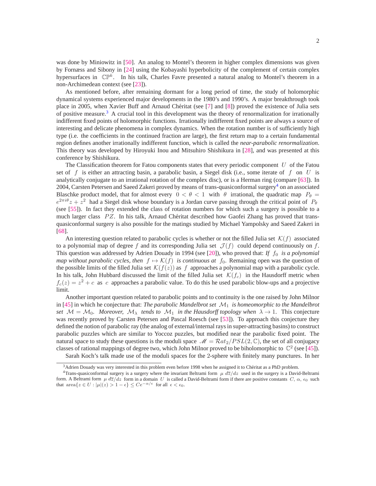was done by Miniowitz in [\[50\]](#page-9-0). An analog to Montel's theorem in higher complex dimensions was given by Fornæss and Sibony in [\[24\]](#page-8-0) using the Kobayashi hyperbolicity of the complement of certain complex hypersurfaces in  $\mathbb{CP}^k$ . In his talk, Charles Favre presented a natural analog to Montel's theorem in a non-Archimedean context (see [\[23\]](#page-8-1)).

As mentioned before, after remaining dormant for a long period of time, the study of holomorphic dynamical systems experienced major developments in the 1980's and 1990's. A major breakthrough took place in 2005, when Xavier Buff and Arnaud Chéritat (see [[7\]](#page-7-0) and [\[8\]](#page-7-1)) proved the existence of Julia sets of positive measure.<sup>[3](#page-1-0)</sup> A crucial tool in this development was the theory of renormalization for irrationally indifferent fixed points of holomorphic functions. Irrationally indifferent fixed points are always a source of interesting and delicate phenomena in complex dynamics. When the rotation number is of sufficiently high type (i.e. the coefficients in the continued fraction are large), the first return map to a certain fundamental region defines another irrationally indifferent function, which is called the *near-parabolic renormalization*. This theory was developed by Hiroyuki Inou and Mitsuhiro Shishikura in [\[28\]](#page-8-2), and was presented at this conference by Shishikura.

The Classification theorem for Fatou components states that every periodic component  $U$  of the Fatou set of f is either an attracting basin, a parabolic basin, a Siegel disk (i.e., some iterate of f on U is analytically conjugate to an irrational rotation of the complex disc), or is a Herman ring (compare [\[63\]](#page-10-0)). In 200[4](#page-1-1), Carsten Petersen and Saeed Zakeri proved by means of trans-quasiconformal surgery<sup>4</sup> on an associated Blaschke product model, that for almost every  $0 < \theta < 1$  with  $\theta$  irrational, the quadratic map  $P_{\theta} =$  $e^{2\pi i\theta}z + z^2$  had a Siegel disk whose boundary is a Jordan curve passing through the critical point of  $P_\theta$ (see [\[55\]](#page-10-1)). In fact they extended the class of rotation numbers for which such a surgery is possible to a much larger class  $PZ$ . In his talk, Arnaud Chéritat described how Gaofei Zhang has proved that transquasiconformal surgery is also possible for the matings studied by Michael Yampolsky and Saeed Zakeri in [\[68\]](#page-10-2).

An interesting question related to parabolic cycles is whether or not the filled Julia set  $\mathcal{K}(f)$  associated to a polynomial map of degree f and its corresponding Julia set  $\mathcal{J}(f)$  could depend continuously on f. This question was addressed by Adrien Douady in 1994 (see [\[20\]](#page-8-3)), who proved that: *If*  $f_0$  *is a polynomial map without parabolic cycles, then*  $f \mapsto \mathcal{K}(f)$  *is continuous at*  $f_0$ . Remaining open was the question of the possible limits of the filled Julia set  $\mathcal{K}(f(z))$  as f approaches a polynomial map with a parabolic cycle. In his talk, John Hubbard discussed the limit of the filled Julia set  $\mathcal{K}(f_c)$  in the Hausdorff metric when  $f_c(z) = z^2 + c$  as c approaches a parabolic value. To do this he used parabolic blow-ups and a projective limit.

Another important question related to parabolic points and to continuity is the one raised by John Milnor in  $[45]$  in which he conjecture that: *The parabolic Mandelbrot set*  $\mathcal{M}_1$  *is homeomorphic to the Mandelbrot set*  $\mathcal{M} = \mathcal{M}_0$ *. Moreover,*  $\mathcal{M}_\lambda$  *tends to*  $\mathcal{M}_1$  *in the Hausdorff topology when*  $\lambda \to 1$ *. This conjecture* was recently proved by Carsten Petersen and Pascal Roesch (see [\[53\]](#page-9-2)). To approach this conjecture they defined the notion of parabolic ray (the analog of external/internal rays in super-attracting basins) to construct parabolic puzzles which are similar to Yoccoz puzzles, but modified near the parabolic fixed point. The natural space to study these questions is the moduli space  $\mathcal{M} = \mathcal{R}at_2/PSL(2,\mathbb{C})$ , the set of all conjugacy classes of rational mappings of degree two, which John Milnor proved to be biholomorphic to  $\mathbb{C}^2$  (see [\[45\]](#page-9-1)).

Sarah Koch's talk made use of the moduli spaces for the 2-sphere with finitely many punctures. In her

<span id="page-1-0"></span><sup>&</sup>lt;sup>3</sup> Adrien Douady was very interested in this problem even before 1998 when he assigned it to Chéritat as a PhD problem.

<span id="page-1-1"></span><sup>&</sup>lt;sup>4</sup>Trans-quasiconformal surgery is a surgery where the invariant Beltrami form  $\mu$   $d\overline{z}/dz$  used in the surgery is a David-Beltrami form. A Beltrami form  $\mu \frac{d\overline{z}}{dz}$  form in a domain U is called a David-Beltrami form if there are positive constants  $C, \alpha, \epsilon_0$  such that  $\text{area}\{z \in U : |\mu|(z) > 1 - \epsilon\} \leq Ce^{-\alpha/\epsilon}$  for all  $\epsilon < \epsilon_0$ .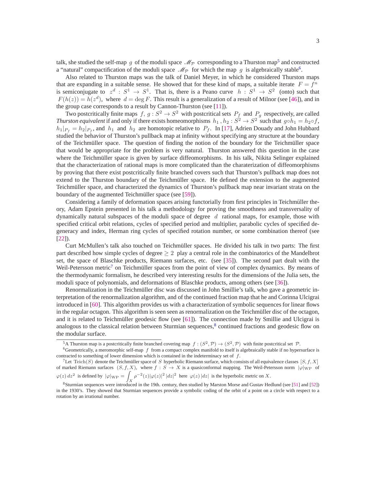talk, she studied the self-map g of the moduli space  $\mathcal{M}_{\mathcal{P}}$  corresponding to a Thurston map<sup>[5](#page-2-0)</sup> and constructed a "natural" compactification of the moduli space  $\mathcal{M}_{\mathcal{P}}$  for which the map g is algebraically stable<sup>[6](#page-2-1)</sup>.

Also related to Thurston maps was the talk of Daniel Meyer, in which he considered Thurston maps that are expanding in a suitable sense. He showed that for these kind of maps, a suitable iterate  $F = f^n$ is semiconjugate to  $z^d : S^1 \to S^1$ . That is, there is a Peano curve  $h : S^1 \to S^2$  (onto) such that  $F(h(z)) = h(z<sup>d</sup>)$ , where  $d = \deg F$ . This result is a generalization of a result of Milnor (see [\[46\]](#page-9-3)), and in the group case corresponds to a result by Cannon-Thurston (see [\[11\]](#page-7-2)).

Two postcritically finite maps  $f, g: S^2 \to S^2$  with postcritical sets  $P_f$  and  $P_g$  respectively, are called *Thurston equivalent* if and only if there exists homeomorphisms  $h_1$ ,  $h_2$  :  $S^2 \to S^2$  such that  $g \circ h_1 = h_2 \circ f$ ,  $|h_1|_{P_f} = h_2|_{P_f}$ , and  $h_1$  and  $h_2$  are homotopic relative to  $P_f$ . In [\[17\]](#page-7-3), Adrien Douady and John Hubbard studied the behavior of Thurston's pullback map at infinity without specifying any structure at the boundary of the Teichmüller space. The question of finding the notion of the boundary for the Teichmüller space that would be appropriate for the problem is very natural. Thurston answered this question in the case where the Teichmüller space is given by surface diffeomorphisms. In his talk, Nikita Selinger explained that the characterization of rational maps is more complicated than the charaterization of diffeomorphisms by proving that there exist postcritically finite branched covers such that Thurston's pullback map does not extend to the Thurston boundary of the Teichmüller space. He defined the extension to the augmented Teichmüller space, and characterized the dynamics of Thurston's pullback map near invariant strata on the boundary of the augmented Teichmüller space (see [[59\]](#page-10-3)).

Considering a family of deformation spaces arising functorially from first principles in Teichmüller theory, Adam Epstein presented in his talk a methodology for proving the smoothness and transversality of dynamically natural subspaces of the moduli space of degree  $d$  rational maps, for example, those with specified critical orbit relations, cycles of specified period and multiplier, parabolic cycles of specified degeneracy and index, Herman ring cycles of specified rotation number, or some combination thereof (see [\[22\]](#page-8-4)).

Curt McMullen's talk also touched on Teichmuller spaces. He divided his talk in two parts: The first ¨ part described how simple cycles of degree  $\geq 2$  play a central role in the combinatorics of the Mandelbrot set, the space of Blaschke products, Riemann surfaces, etc. (see [\[35\]](#page-8-5)). The second part dealt with the Weil-Petersson metric<sup>[7](#page-2-2)</sup> on Teichmüller spaces from the point of view of complex dynamics. By means of the thermodynamic formalism, he described very interesting results for the dimensions of the Julia sets, the moduli space of polynomials, and deformations of Blaschke products, among others (see [\[36\]](#page-9-4)).

Renormalization in the Teichmüller disc was discussed in John Smillie's talk, who gave a geometric interpretation of the renormalization algorithm, and of the continued fraction map that he and Corinna Ulcigrai introduced in [\[60\]](#page-10-4). This algorithm provides us with a characterization of symbolic sequences for linear flows in the regular octagon. This algorithm is seen seen as renormalization on the Teichmüller disc of the octagon, and it is related to Teichmüller geodesic flow (see  $[61]$  $[61]$ ). The connection made by Smillie and Ulcigrai is analogous to the classical relation between Sturmian sequences,<sup>[8](#page-2-3)</sup> continued fractions and geodesic flow on the modular surface.

<span id="page-2-0"></span><sup>&</sup>lt;sup>5</sup>A Thurston map is a postcritically finite branched covering map  $f : (S^2, \mathcal{P}) \to (S^2, \mathcal{P})$  with finite postcritical set  $\mathcal{P}$ .

<span id="page-2-1"></span> $6$ Geometrically, a meromorphic self-map  $f$  from a compact complex manifold to itself is algebraically stable if no hypersurface is contracted to something of lower dimension which is contained in the indeterminacy set of  $f$ .

<span id="page-2-2"></span> $^7$ Let Teich $(S)$  denote the Teichmüller space of S hyperbolic Riemann surface, which consists of all equivalence classes  $[S, f, X]$ of marked Riemann surfaces  $(S, f, X)$ , where  $f : S \to X$  is a quasiconformal mapping. The Weil-Petersson norm  $|\varphi|_{\text{WP}}$  of  $\varphi(z) dz^2$  is defined by  $|\varphi|_{\text{WP}} = 1$  $\int_X \rho^{-2}(z)|\varphi(z)|^2 |dz|^2$  here  $\varphi(z)|dz|$  is the hyperbolic metric on X.

<span id="page-2-3"></span><sup>8</sup>Sturmian sequences were introduced in the 19th. century, then studied by Marston Morse and Gustav Hedlund (see [\[51\]](#page-9-5) and [\[52\]](#page-9-6)) in the 1930's. They showed that Sturmian sequences provide a symbolic coding of the orbit of a point on a circle with respect to a rotation by an irrational number.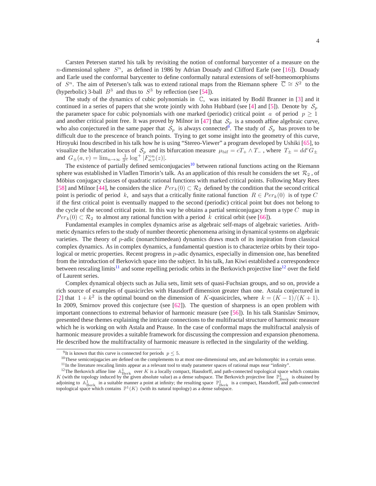Carsten Petersen started his talk by revisiting the notion of conformal barycenter of a measure on the n-dimensional sphere  $S<sup>n</sup>$ , as defined in 1986 by Adrian Douady and Clifford Earle (see [\[16\]](#page-7-4)). Douady and Earle used the conformal barycenter to define conformally natural extensions of self-homeomorphisms of  $S^n$ . The aim of Petersen's talk was to extend rational maps from the Riemann sphere  $\overline{C} \cong S^2$  to the (hyperbolic) 3-ball  $B^3$  and thus to  $S^3$  by reflection (see [\[54\]](#page-9-7)).

The study of the dynamics of cubic polynomials in C, was initiated by Bodil Branner in [\[3\]](#page-7-5) and it continued in a series of papers that she wrote jointly with John Hubbard (see [\[4\]](#page-7-6) and [\[5\]](#page-7-7)). Denote by  $S_n$ the parameter space for cubic polynomials with one marked (periodic) critical point a of period  $p \ge 1$ and another critical point free. It was proved by Milnor in [\[47\]](#page-9-8) that  $S_p$  is a smooth affine algebraic curve, who also conjectured in the same paper that  $S_p$  is always connected<sup>[9](#page-3-0)</sup>. The study of  $S_p$  has proven to be difficult due to the prescence of branch points. Trying to get some insight into the geometry of this curve, Hiroyuki Inou described in his talk how he is using "Stereo-Viewer" a program developed by Ushiki [\[65\]](#page-10-6), to visualize the bifurcation locus of  $S_p$  and its bifurcation measure  $\mu_{\text{bif}} = cT_+ \wedge T_-$ , where  $T_{\pm} = dd^c G_{\pm}$ and  $G_{\pm}(a, v) = \lim_{n \to \infty} \frac{1}{3^n} \log^+ \left[ F_{a, v}^{\circ n}(z) \right].$ 

The existence of partially defined semiconjugacies<sup>[10](#page-3-1)</sup> between rational functions acting on the Riemann sphere was established in Vladlen Timorin's talk. As an application of this result he considers the set  $\mathcal{R}_2$ , of Möbius conjugacy classes of quadratic rational functions with marked critical points. Following Mary Rees [\[58\]](#page-10-7) and Milnor [\[44\]](#page-9-9), he considers the slice  $Per_k(0) \subset \mathcal{R}_2$  defined by the condition that the second critical point is periodic of period k, and says that a critically finite rational function  $R \in Per_k(0)$  is of type C if the first critical point is eventually mapped to the second (periodic) critical point but does not belong to the cycle of the second critical point. In this way he obtains a partial semiconjugacy from a type  $C$  map in  $Per_k(0) \subset \mathcal{R}_2$  to almost any rational function with a period k critical orbit (see [\[66\]](#page-10-8)).

Fundamental examples in complex dynamics arise as algebraic self-maps of algebraic varieties. Arithmetic dynamics refers to the study of number theoretic phenomena arising in dynamical systems on algebraic varieties. The theory of  $p$ -adic (nonarchimedean) dynamics draws much of its inspiration from classical complex dynamics. As in complex dynamics, a fundamental question is to characterize orbits by their topological or metric properties. Recent progress in  $p$ -adic dynamics, especially in dimension one, has benefited from the introduction of Berkovich space into the subject. In his talk, Jan Kiwi established a correspondence between rescaling limits<sup>[11](#page-3-2)</sup> and some repelling periodic orbits in the Berkovich projective line<sup>[12](#page-3-3)</sup> over the field of Laurent series.

Complex dynamical objects such as Julia sets, limit sets of quasi-Fuchsian groups, and so on, provide a rich source of examples of quasicircles with Hausdorff dimension greater than one. Astala conjectured in [\[2\]](#page-7-8) that  $1 + k^2$  is the optimal bound on the dimension of K-quasicircles, where  $k = (K - 1)/(K + 1)$ . In 2009, Smirnov proved this conjecture (see [\[62\]](#page-10-9)). The question of sharpness is an open problem with important connections to extremal behavior of harmonic measure (see [\[56\]](#page-10-10)). In his talk Stanislav Smirnov, presented these themes explaining the intricate connections to the multifractal structure of harmonic measure which he is working on with Astala and Prause. In the case of conformal maps the multifractal analysis of harmonic measure provides a suitable framework for discussing the compression and expansion phenomena. He described how the multifractality of harmonic measure is reflected in the singularity of the welding.

<sup>&</sup>lt;sup>9</sup>It is known that this curve is connected for periods  $p \leq 5$ .

<span id="page-3-0"></span> $10$ These semiconjugacies are defined on the complements to at most one-dimensional sets, and are holomorphic in a certain sense.

<span id="page-3-2"></span><span id="page-3-1"></span> $11$ In the literature rescaling limits appear as a relevant tool to study parameter spaces of rational maps near "infinity".

<span id="page-3-3"></span><sup>&</sup>lt;sup>12</sup>The Berkovich affine line  $\mathbb{A}_{\text{Berk}}^1$  over K is a locally compact, Hausdorff, and path-connected topological space which contains K (with the topology induced by the given absolute value) as a dense subspace. The Berkovich projective line  $\mathbb{P}^1_{\text{Berk}}$  is obtained by adjoining to  $\mathbb{A}^1_{\text{Berk}}$  in a suitable manner a point at infinity; the resulting space  $\mathbb{P}^1_{\text{Berk}}$  is a compact, Hausdorff, and path-connected topological space which contains  $\mathbb{P}^1(K)$  (with its natural topology) as a dense subspace.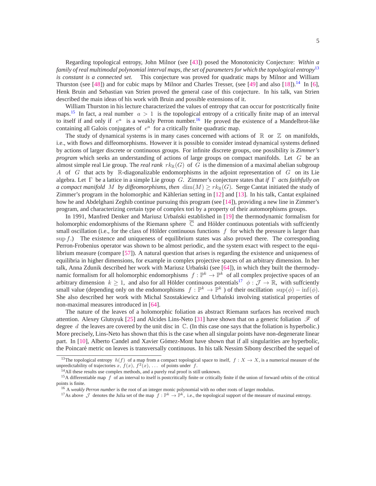Regarding topological entropy, John Milnor (see [\[43\]](#page-9-10)) posed the Monotonicity Conjecture: *Within a family of real multimodal polynomial interval maps, the set of parameters for which the topological entropy*[13](#page-4-0) *is constant is a connected set.* This conjecture was proved for quadratic maps by Milnor and William Thurston (see [\[48\]](#page-9-11)) and for cubic maps by Milnor and Charles Tresser, (see [\[49\]](#page-9-12) and also [\[18\]](#page-8-6)).<sup>[14](#page-4-1)</sup> In [\[6\]](#page-7-9), Henk Bruin and Sebastian van Strien proved the general case of this conjecture. In his talk, van Strien described the main ideas of his work with Bruin and possible extensions of it.

William Thurston in his lecture characterized the values of entropy that can occur for postcritically finite maps.<sup>[15](#page-4-2)</sup> In fact, a real number  $a > 1$  is the topological entropy of a critically finite map of an interval to itself if and only if  $e^a$  is a weakly Perron number.<sup>[16](#page-4-3)</sup> He proved the existence of a Mandelbrot-like containing all Galois conjugates of  $e^a$  for a critically finite quadratic map.

The study of dynamical systems is in many cases concerned with actions of  $\mathbb R$  or  $\mathbb Z$  on manifolds, i.e., with flows and diffeomorphisms. However it is possible to consider instead dynamical systems defined by actions of larger discrete or continuous groups. For infinite discrete groups, one possibility is *Zimmer's program* which seeks an understanding of actions of large groups on compact manifolds. Let G be an almost simple real Lie group. The *real rank*  $rk_{\mathbb{R}}(G)$  of G is the dimension of a maximal abelian subgroup A of G that acts by R-diagonalizable endomorphisms in the adjoint representation of G on its Lie algebra. Let Γ be a lattice in a simple Lie group G. Zimmer's conjecture states that *if* Γ *acts faithfully on a compact manifold* M *by diffeomorphisms, then* dim(M)  $\geq r k_{\mathbb{R}}(G)$ . Serge Cantat initiated the study of Zimmer's program in the holomorphic and Kählerian setting in [[12\]](#page-7-10) and [\[13\]](#page-7-11). In his talk, Cantat explained how he and Abdelghani Zeghib continue pursuing this program (see [\[14\]](#page-7-12)), providing a new line in Zimmer's program, and characterizing certain type of complex tori by a property of their automorphisms groups.

In 1991, Manfred Denker and Mariusz Urbanski established in [[19\]](#page-8-7) the thermodynamic formalism for holomorphic endomorphisms of the Riemann sphere  $\overline{C}$  and Hölder continuous potentials with suffciently small oscillation (i.e., for the class of Hölder continuous functions  $f$  for which the pressure is larger than  $\sup f$ .) The existence and uniqueness of equilibrium states was also proved there. The corresponding Perron-Frobenius operator was shown to be almost periodic, and the system exact with respect to the equilibrium measure (compare [\[57\]](#page-10-11)). A natural question that arises is regarding the existence and uniqueness of equilibria in higher dimensions, for example in complex projective spaces of an arbitrary dimension. In her talk, Anna Zdunik described her work with Mariusz Urbański (see [[64\]](#page-10-12)), in which they built the thermodynamic formalism for all holomorphic endomorphisms  $f : \mathbb{P}^k \to \mathbb{P}^k$  of all complex projective spaces of an arbitrary dimension  $k \geq 1$ , and also for all Hölder continuous potentials<sup>[17](#page-4-4)</sup>  $\phi : \mathcal{J} \to \mathbb{R}$ , with suffciently small value (depending only on the endomorphisms  $f : \mathbb{P}^k \to \mathbb{P}^k$ ) of their oscillation  $\text{sup}(\phi) - \text{inf}(\phi)$ . She also described her work with Michal Szostakiewicz and Urbański involving statistical properties of non-maximal measures introduced in [\[64\]](#page-10-12).

The nature of the leaves of a holomorphic foliation as abstract Riemann surfaces has received much attention. Alexey Glutsyuk [\[25\]](#page-8-8) and Alcides Lins-Neto [\[31\]](#page-8-9) have shown that on a generic foliation  $\mathscr F$  of degree d the leaves are covered by the unit disc in  $\mathbb C$ . (In this case one says that the foliation is hyperbolic.) More precisely, Lins-Neto has shown that this is the case when all singular points have non-degenerate linear part. In [\[10\]](#page-7-13), Alberto Candel and Xavier Gómez-Mont have shown that if all singularities are hyperbolic, the Poincaré metric on leaves is transversally continuous. In his talk Nessim Sibony described the sequel of

<sup>&</sup>lt;sup>13</sup>The topological entropy  $h(f)$  of a map from a compact topological space to itself,  $f: X \to X$ , is a numerical measure of the unpredictability of trajectories x,  $f(x)$ ,  $f^2(x)$ , ... of points under f.

<span id="page-4-0"></span><sup>&</sup>lt;sup>14</sup>All these results use complex methods, and a purely real proof is still unknown.

<span id="page-4-1"></span><sup>&</sup>lt;sup>15</sup>A differentiable map  $f$  of an interval to itself is postcritically finite or critically finite if the union of forward orbits of the critical points is finite.

<span id="page-4-2"></span><sup>&</sup>lt;sup>16</sup> A *weakly Perron number* is the root of an integer monic polynomial with no other roots of larger modulus.

<span id="page-4-4"></span><span id="page-4-3"></span><sup>&</sup>lt;sup>17</sup>As above  $\mathcal J$  denotes the Julia set of the map  $f: \mathbb{P}^k \to \mathbb{P}^k$ , i.e., the topological support of the measure of maximal entropy.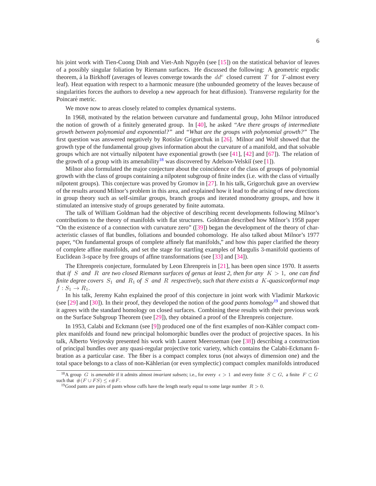his joint work with Tien-Cuong Dinh and Viet-Anh Nguyên (see [[15\]](#page-7-14)) on the statistical behavior of leaves of a possibly singular foliation by Riemann surfaces. He discussed the following: A geometric ergodic theorem, á la Birkhoff (averages of leaves converge towards the  $dd^c$  closed current T for T-almost every leaf). Heat equation with respect to a harmonic measure (the unbounded geometry of the leaves because of singularities forces the authors to develop a new approach for heat diffusion). Transverse regularity for the Poincaré metric.

We move now to areas closely related to complex dynamical systems.

In 1968, motivated by the relation between curvature and fundamental group, John Milnor introduced the notion of growth of a finitely generated group. In [\[40\]](#page-9-13), he asked *"Are there groups of intermediate growth between polynomial and exponential?"* and *"What are the groups with polynomial growth?"* The first question was answered negatively by Rotislav Grigorchuk in [\[26\]](#page-8-10). Milnor and Wolf showed that the growth type of the fundamental group gives information about the curvature of a manifold, and that solvable groups which are not virtually nilpotent have exponential growth (see [\[41\]](#page-9-14), [\[42\]](#page-9-15) and [\[67\]](#page-10-13)). The relation of the growth of a group with its amenability<sup>[18](#page-5-0)</sup> was discovered by Adelson-Velski $\check{\mathrm{u}}$  (see [\[1\]](#page-7-15)).

Milnor also formulated the major conjecture about the coincidence of the class of groups of polynomial growth with the class of groups containing a nilpotent subgroup of finite index (i.e. with the class of virtually nilpotent groups). This conjecture was proved by Gromov in [\[27\]](#page-8-11). In his talk, Grigorchuk gave an overview of the results around Milnor's problem in this area, and explained how it lead to the arising of new directions in group theory such as self-similar groups, branch groups and iterated monodromy groups, and how it stimulated an intensive study of groups generated by finite automata.

The talk of William Goldman had the objective of describing recent developments following Milnor's contributions to the theory of manifolds with flat structures. Goldman described how Milnor's 1958 paper "On the existence of a connection with curvature zero" ([\[39\]](#page-9-16)) began the development of the theory of characteristic classes of flat bundles, foliations and bounded cohomology. He also talked about Milnor's 1977 paper, "On fundamental groups of complete affinely flat manifolds," and how this paper clarified the theory of complete affine manifolds, and set the stage for startling examples of Margulis 3-manifold quotients of Euclidean 3-space by free groups of affine transformations (see [\[33\]](#page-8-12) and [\[34\]](#page-8-13)).

The Ehrenpreis conjecture, formulated by Leon Ehrenpreis in [\[21\]](#page-8-14), has been open since 1970. It asserts that *if* S and R are two closed Riemann surfaces of genus at least 2, then for any  $K > 1$ , one can find *finite degree covers* S<sup>1</sup> *and* R<sup>1</sup> *of* S *and* R *respectively, such that there exists a* K*-quasiconformal map*  $f: S_1 \to R_1.$ 

In his talk, Jeremy Kahn explained the proof of this conjecture in joint work with Vladimir Markovic (see [\[29\]](#page-8-15) and [\[30\]](#page-8-16)). In their proof, they developed the notion of the *good pants homology*[19](#page-5-1) and showed that it agrees with the standard homology on closed surfaces. Combining these results with their previous work on the Surface Subgroup Theorem (see [\[29\]](#page-8-15)), they obtained a proof of the Ehrenpreis conjecture.

In 1953, Calabi and Eckmann (see [\[9\]](#page-7-16)) produced one of the first examples of non-Kähler compact complex manifolds and found new principal holomorphic bundles over the product of projective spaces. In his talk, Alberto Verjovsky presented his work with Laurent Meersseman (see [\[38\]](#page-9-17)) describing a construction of principal bundles over any quasi-regular projective toric variety, which contains the Calabi-Eckmann fibration as a particular case. The fiber is a compact complex torus (not always of dimension one) and the total space belongs to a class of non-Kählerian (or even symplectic) compact complex manifolds introduced

<sup>&</sup>lt;sup>18</sup>A group G is *amenable* if it admits almost *invariant subsets*; i.e., for every  $\epsilon > 1$  and every finite  $S \subset G$ , a finite  $F \subset G$ such that  $#(F \cup FS) \leq \epsilon \#F$ .

<span id="page-5-1"></span><span id="page-5-0"></span><sup>&</sup>lt;sup>19</sup>Good pants are pairs of pants whose cuffs have the length nearly equal to some large number  $R > 0$ .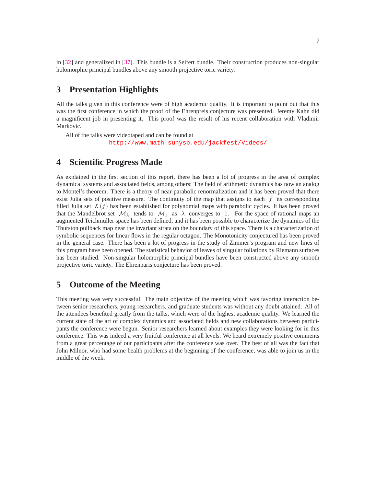in [\[32\]](#page-8-17) and generalized in [\[37\]](#page-9-18). This bundle is a Seifert bundle. Their construction produces non-singular holomorphic principal bundles above any smooth projective toric variety.

### **3 Presentation Highlights**

All the talks given in this conference were of high academic quality. It is important to point out that this was the first conference in which the proof of the Ehrenpreis conjecture was presented. Jeremy Kahn did a magnificent job in presenting it. This proof was the result of his recent collaboration with Vladimir Markovic.

All of the talks were videotaped and can be found at <http://www.math.sunysb.edu/jackfest/Videos/>

#### **4 Scientific Progress Made**

As explained in the first section of this report, there has been a lot of progress in the area of complex dynamical systems and associated fields, among others: The field of arithmetic dynamics has now an analog to Montel's theorem. There is a theory of near-parabolic renormalization and it has been proved that there exist Julia sets of positive measure. The continuity of the map that assigns to each  $f$  its corresponding filled Julia set  $\mathcal{K}(f)$  has been established for polynomial maps with parabolic cycles. It has been proved that the Mandelbrot set  $\mathcal{M}_{\lambda}$  tends to  $\mathcal{M}_{1}$  as  $\lambda$  converges to 1. For the space of rational maps an augmented Teichmüller space has been defined, and it has been possible to characterize the dynamics of the Thurston pullback map near the invariant strata on the boundary of this space. There is a characterization of symbolic sequences for linear flows in the regular octagon. The Monotonicity conjectured has been proved in the general case. There has been a lot of progress in the study of Zimmer's program and new lines of this program have been opened. The statistical behavior of leaves of singular foliations by Riemann surfaces has been studied. Non-singular holomorphic principal bundles have been constructed above any smooth projective toric variety. The Ehrenparis conjecture has been proved.

### **5 Outcome of the Meeting**

This meeting was very successful. The main objective of the meeting which was favoring interaction between senior researchers, young researchers, and graduate students was without any doubt attained. All of the attendees benefited greatly from the talks, which were of the highest academic quality. We learned the current state of the art of complex dynamics and associated fields and new collaborations between participants the conference were begun. Senior researchers learned about examples they were looking for in this conference. This was indeed a very fruitful conference at all levels. We heard extremely positive comments from a great percentage of our participants after the conference was over. The best of all was the fact that John Milnor, who had some health problems at the beginning of the conference, was able to join us in the middle of the week.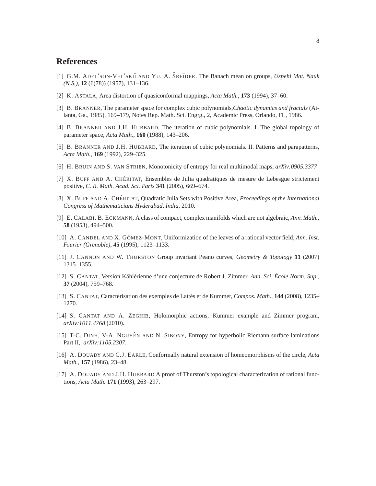## <span id="page-7-15"></span>**References**

- [1] G.M. ADEL'SON-VEL'SKII AND YU. A. ŠREIDER. The Banach mean on groups, Uspehi Mat. Nauk *(N.S.)*, **12** (6(78)) (1957), 131–136.
- <span id="page-7-8"></span><span id="page-7-5"></span>[2] K. ASTALA, Area distortion of quasiconformal mappings, *Acta Math.*, **173** (1994), 37–60.
- [3] B. BRANNER, The parameter space for complex cubic polynomials,*Chaotic dynamics and fractals* (Atlanta, Ga., 1985), 169–179, Notes Rep. Math. Sci. Engrg., 2, Academic Press, Orlando, FL, 1986.
- <span id="page-7-6"></span>[4] B. BRANNER AND J.H. HUBBARD, The iteration of cubic polynomials. I. The global topology of parameter space, *Acta Math.*, **160** (1988), 143–206.
- <span id="page-7-9"></span><span id="page-7-7"></span>[5] B. BRANNER AND J.H. HUBBARD, The iteration of cubic polynomials. II. Patterns and parapatterns, *Acta Math.*, **169** (1992), 229–325.
- <span id="page-7-0"></span>[6] H. BRUIN AND S. VAN STRIEN, Monotonicity of entropy for real multimodal maps, *arXiv:0905.3377*
- [7] X. BUFF AND A. CHÉRITAT, Ensembles de Julia quadratiques de mesure de Lebesgue strictement positive, *C. R. Math. Acad. Sci. Paris* **341** (2005), 669–674.
- <span id="page-7-1"></span>[8] X. BUFF AND A. CHÉRITAT, Quadratic Julia Sets with Positive Area, *Proceedings of the International Congress of Mathematicians Hyderabad, India*, 2010.
- <span id="page-7-16"></span><span id="page-7-13"></span>[9] E. CALABI, B. ECKMANN, A class of compact, complex manifolds which are not algebraic, *Ann. Math.*, **58** (1953), 494–500.
- <span id="page-7-2"></span>[10] A. CANDEL AND X. GÓMEZ-MONT, Uniformization of the leaves of a rational vector field, *Ann. Inst. Fourier (Grenoble)*, **45** (1995), 1123–1133.
- <span id="page-7-10"></span>[11] J. CANNON AND W. THURSTON Group invariant Peano curves, *Geometry & Topology* **11** (2007) 1315–1355.
- [12] S. CANTAT, Version Kählérienne d'une conjecture de Robert J. Zimmer, Ann. Sci. École Norm. Sup., **37** (2004), 759–768.
- <span id="page-7-12"></span><span id="page-7-11"></span>[13] S. CANTAT, Caractérisation des exemples de Lattès et de Kummer, Compos. Math., 144 (2008), 1235– 1270.
- [14] S. CANTAT AND A. ZEGHIB, Holomorphic actions, Kummer example and Zimmer program, *arXiv:1011.4768* (2010).
- <span id="page-7-14"></span>[15] T-C. DINH, V-A. NGUYÊN AND N. SIBONY, Entropy for hyperbolic Riemann surface laminations Part II, *arXiv:1105.2307*.
- <span id="page-7-4"></span>[16] A. DOUADY AND C.J. EARLE, Conformally natural extension of homeomorphisms of the circle, *Acta Math.*, **157** (1986), 23–48.
- <span id="page-7-3"></span>[17] A. DOUADY AND J.H. HUBBARD A proof of Thurston's topological characterization of rational functions, *Acta Math.* **171** (1993), 263–297.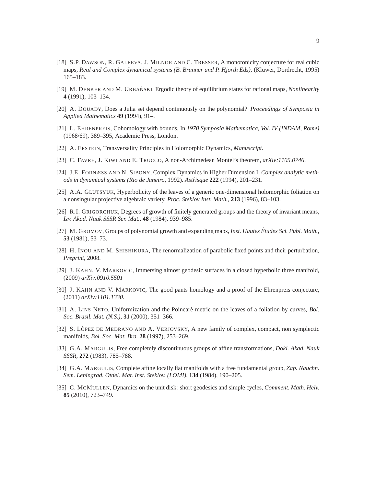- <span id="page-8-6"></span>[18] S.P. DAWSON, R. GALEEVA, J. MILNOR AND C. TRESSER, A monotonicity conjecture for real cubic maps, *Real and Complex dynamical systems (B. Branner and P. Hjorth Eds)*, (Kluwer, Dordrecht, 1995) 165–183.
- <span id="page-8-7"></span><span id="page-8-3"></span>[19] M. DENKER AND M. URBAŃSKI, Ergodic theory of equilibrium states for rational maps, *Nonlinearity* **4** (1991), 103–134.
- <span id="page-8-14"></span>[20] A. DOUADY, Does a Julia set depend continuously on the polynomial? *Proceedings of Symposia in Applied Mathematics* **49** (1994), 91–.
- [21] L. EHRENPREIS, Cohomology with bounds, In *1970 Symposia Mathematica, Vol. IV (INDAM, Rome)* (1968/69), 389–395, Academic Press, London.
- <span id="page-8-4"></span><span id="page-8-1"></span>[22] A. EPSTEIN, Transversality Principles in Holomorphic Dynamics, *Manuscript.*
- <span id="page-8-0"></span>[23] C. FAVRE, J. KIWI AND E. TRUCCO, A non-Archimedean Montel's theorem, *arXiv:1105.0746*.
- <span id="page-8-8"></span>[24] J.E. FORNÆSS AND N. SIBONY, Complex Dynamics in Higher Dimension I, *Complex analytic methods in dynamical systems (Rio de Janeiro*, 1992). *Astrisque ´* **222** (1994), 201–231.
- <span id="page-8-10"></span>[25] A.A. GLUTSYUK, Hyperbolicity of the leaves of a generic one-dimensional holomorphic foliation on a nonsingular projective algebraic variety, *Proc. Steklov Inst. Math.*, **213** (1996), 83–103.
- [26] R.I. GRIGORCHUK, Degrees of growth of finitely generated groups and the theory of invariant means, *Izv. Akad. Nauk SSSR Ser. Mat.*, **48** (1984), 939–985.
- <span id="page-8-11"></span>[27] M. GROMOV, Groups of polynomial growth and expanding maps, *Inst. Hautes Etudes Sci. Publ. Math. ´* , **53** (1981), 53–73.
- <span id="page-8-2"></span>[28] H. INOU AND M. SHISHIKURA, The renormalization of parabolic fixed points and their perturbation, *Preprint*, 2008.
- <span id="page-8-15"></span>[29] J. KAHN, V. MARKOVIC, Immersing almost geodesic surfaces in a closed hyperbolic three manifold, (2009) *arXiv:0910.5501*
- <span id="page-8-16"></span>[30] J. KAHN AND V. MARKOVIC, The good pants homology and a proof of the Ehrenpreis conjecture, (2011) *arXiv:1101.1330*.
- <span id="page-8-9"></span>[31] A. LINS NETO, Uniformization and the Poincaré metric on the leaves of a foliation by curves, *Bol. Soc. Brasil. Mat. (N.S.)*, **31** (2000), 351–366.
- <span id="page-8-17"></span>[32] S. LÓPEZ DE MEDRANO AND A. VERJOVSKY, A new family of complex, compact, non symplectic manifolds, *Bol. Soc. Mat. Bra.* **28** (1997), 253–269.
- <span id="page-8-12"></span>[33] G.A. MARGULIS, Free completely discontinuous groups of affine transformations, *Dokl. Akad. Nauk SSSR*, **272** (1983), 785–788.
- <span id="page-8-13"></span>[34] G.A. MARGULIS, Complete affine locally flat manifolds with a free fundamental group, *Zap. Nauchn. Sem. Leningrad. Otdel. Mat. Inst. Steklov. (LOMI)*, **134** (1984), 190–205.
- <span id="page-8-5"></span>[35] C. MCMULLEN, Dynamics on the unit disk: short geodesics and simple cycles, *Comment. Math. Helv.* **85** (2010), 723–749.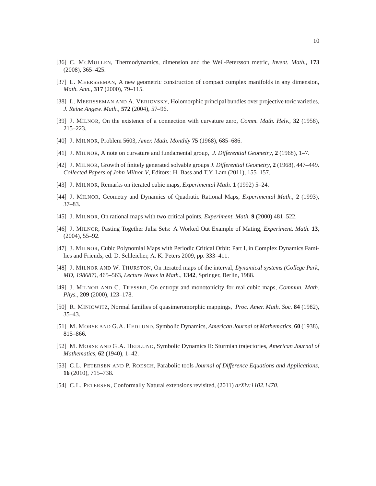- <span id="page-9-18"></span><span id="page-9-4"></span>[36] C. MCMULLEN, Thermodynamics, dimension and the Weil-Petersson metric, *Invent. Math.*, **173** (2008), 365–425.
- <span id="page-9-17"></span>[37] L. MEERSSEMAN, A new geometric construction of compact complex manifolds in any dimension, *Math. Ann.*, **317** (2000), 79–115.
- <span id="page-9-16"></span>[38] L. MEERSSEMAN AND A. VERJOVSKY, Holomorphic principal bundles over projective toric varieties, *J. Reine Angew. Math.*, **572** (2004), 57–96.
- <span id="page-9-13"></span>[39] J. MILNOR, On the existence of a connection with curvature zero, *Comm. Math. Helv.*, **32** (1958), 215–223.
- <span id="page-9-14"></span>[40] J. MILNOR, Problem 5603, *Amer. Math. Monthly* **75** (1968), 685–686.
- <span id="page-9-15"></span>[41] J. MILNOR, A note on curvature and fundamental group, *J. Differential Geometry*, **2** (1968), 1–7.
- <span id="page-9-10"></span>[42] J. MILNOR, Growth of finitely generated solvable groups *J. Differential Geometry*, **2** (1968), 447–449. *Collected Papers of John Milnor V*, Editors: H. Bass and T.Y. Lam (2011), 155–157.
- <span id="page-9-9"></span>[43] J. MILNOR, Remarks on iterated cubic maps, *Experimental Math.* **1** (1992) 5–24.
- <span id="page-9-1"></span>[44] J. MILNOR, Geometry and Dynamics of Quadratic Rational Maps, *Experimental Math.*, **2** (1993), 37–83.
- <span id="page-9-3"></span>[45] J. MILNOR, On rational maps with two critical points, *Experiment. Math.* **9** (2000) 481–522.
- [46] J. MILNOR, Pasting Together Julia Sets: A Worked Out Example of Mating, *Experiment. Math.* **13**, (2004), 55–92.
- <span id="page-9-8"></span>[47] J. MILNOR, Cubic Polynomial Maps with Periodic Critical Orbit: Part I, in Complex Dynamics Families and Friends, ed. D. Schleicher, A. K. Peters 2009, pp. 333–411.
- <span id="page-9-11"></span>[48] J. MILNOR AND W. THURSTON, On iterated maps of the interval, *Dynamical systems (College Park, MD, 198687)*, 465–563, *Lecture Notes in Math.*, **1342**, Springer, Berlin, 1988.
- <span id="page-9-12"></span>[49] J. MILNOR AND C. TRESSER, On entropy and monotonicity for real cubic maps, *Commun. Math. Phys.*, **209** (2000), 123–178.
- <span id="page-9-5"></span><span id="page-9-0"></span>[50] R. MINIOWITZ, Normal families of quasimeromorphic mappings, *Proc. Amer. Math. Soc.* **84** (1982), 35–43.
- <span id="page-9-6"></span>[51] M. MORSE AND G.A. HEDLUND, Symbolic Dynamics, *American Journal of Mathematics*, **60** (1938), 815–866.
- [52] M. MORSE AND G.A. HEDLUND, Symbolic Dynamics II: Sturmian trajectories, *American Journal of Mathematics*, **62** (1940), 1–42.
- <span id="page-9-2"></span>[53] C.L. PETERSEN AND P. ROESCH, Parabolic tools *Journal of Difference Equations and Applications*, **16** (2010), 715–738.
- <span id="page-9-7"></span>[54] C.L. PETERSEN, Conformally Natural extensions revisited, (2011) *arXiv:1102.1470*.